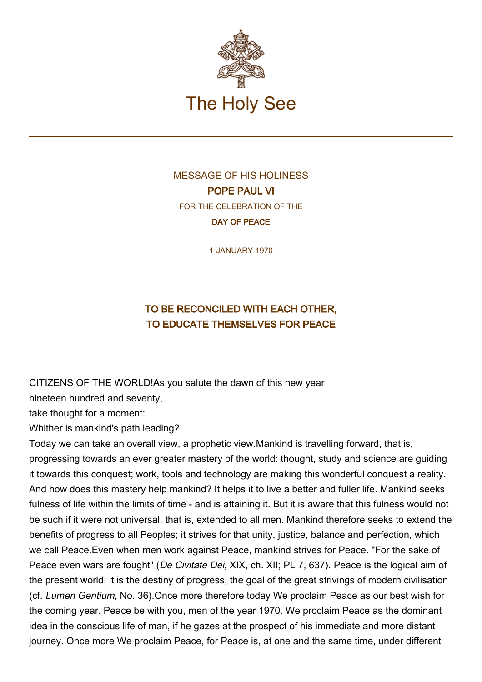

## MESSAGE OF HIS HOLINESS POPE PAUL VI FOR THE CELEBRATION OF THE DAY OF PEACE

1 JANUARY 1970

## TO BE RECONCILED WITH EACH OTHER, TO EDUCATE THEMSELVES FOR PEACE

CITIZENS OF THE WORLD!As you salute the dawn of this new year

nineteen hundred and seventy,

take thought for a moment:

Whither is mankind's path leading?

Today we can take an overall view, a prophetic view.Mankind is travelling forward, that is, progressing towards an ever greater mastery of the world: thought, study and science are guiding it towards this conquest; work, tools and technology are making this wonderful conquest a reality. And how does this mastery help mankind? It helps it to live a better and fuller life. Mankind seeks fulness of life within the limits of time - and is attaining it. But it is aware that this fulness would not be such if it were not universal, that is, extended to all men. Mankind therefore seeks to extend the benefits of progress to all Peoples; it strives for that unity, justice, balance and perfection, which we call Peace.Even when men work against Peace, mankind strives for Peace. "For the sake of Peace even wars are fought" (De Civitate Dei, XIX, ch. XII; PL 7, 637). Peace is the logical aim of the present world; it is the destiny of progress, the goal of the great strivings of modern civilisation (cf. Lumen Gentium, No. 36).Once more therefore today We proclaim Peace as our best wish for the coming year. Peace be with you, men of the year 1970. We proclaim Peace as the dominant idea in the conscious life of man, if he gazes at the prospect of his immediate and more distant journey. Once more We proclaim Peace, for Peace is, at one and the same time, under different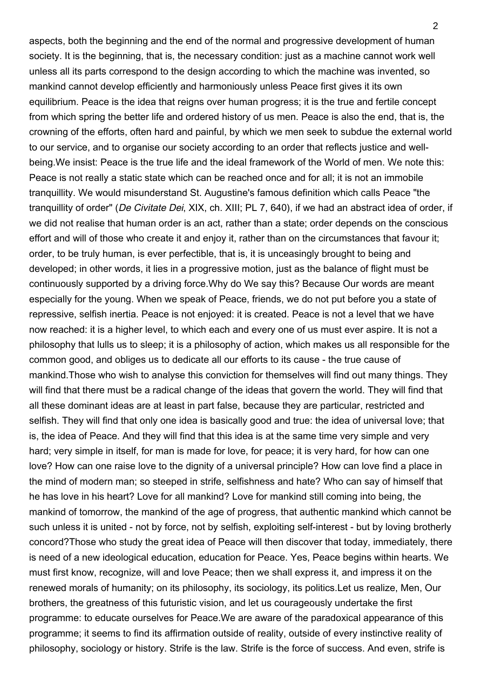aspects, both the beginning and the end of the normal and progressive development of human society. It is the beginning, that is, the necessary condition: just as a machine cannot work well unless all its parts correspond to the design according to which the machine was invented, so mankind cannot develop efficiently and harmoniously unless Peace first gives it its own equilibrium. Peace is the idea that reigns over human progress; it is the true and fertile concept from which spring the better life and ordered history of us men. Peace is also the end, that is, the crowning of the efforts, often hard and painful, by which we men seek to subdue the external world to our service, and to organise our society according to an order that reflects justice and wellbeing.We insist: Peace is the true life and the ideal framework of the World of men. We note this: Peace is not really a static state which can be reached once and for all; it is not an immobile tranquillity. We would misunderstand St. Augustine's famous definition which calls Peace "the tranquillity of order" (De Civitate Dei, XIX, ch. XIII; PL 7, 640), if we had an abstract idea of order, if we did not realise that human order is an act, rather than a state; order depends on the conscious effort and will of those who create it and enjoy it, rather than on the circumstances that favour it; order, to be truly human, is ever perfectible, that is, it is unceasingly brought to being and developed; in other words, it lies in a progressive motion, just as the balance of flight must be continuously supported by a driving force.Why do We say this? Because Our words are meant especially for the young. When we speak of Peace, friends, we do not put before you a state of repressive, selfish inertia. Peace is not enjoyed: it is created. Peace is not a level that we have now reached: it is a higher level, to which each and every one of us must ever aspire. It is not a philosophy that lulls us to sleep; it is a philosophy of action, which makes us all responsible for the common good, and obliges us to dedicate all our efforts to its cause - the true cause of mankind.Those who wish to analyse this conviction for themselves will find out many things. They will find that there must be a radical change of the ideas that govern the world. They will find that all these dominant ideas are at least in part false, because they are particular, restricted and selfish. They will find that only one idea is basically good and true: the idea of universal love; that is, the idea of Peace. And they will find that this idea is at the same time very simple and very hard; very simple in itself, for man is made for love, for peace; it is very hard, for how can one love? How can one raise love to the dignity of a universal principle? How can love find a place in the mind of modern man; so steeped in strife, selfishness and hate? Who can say of himself that he has love in his heart? Love for all mankind? Love for mankind still coming into being, the mankind of tomorrow, the mankind of the age of progress, that authentic mankind which cannot be such unless it is united - not by force, not by selfish, exploiting self-interest - but by loving brotherly concord?Those who study the great idea of Peace will then discover that today, immediately, there is need of a new ideological education, education for Peace. Yes, Peace begins within hearts. We must first know, recognize, will and love Peace; then we shall express it, and impress it on the renewed morals of humanity; on its philosophy, its sociology, its politics.Let us realize, Men, Our brothers, the greatness of this futuristic vision, and let us courageously undertake the first programme: to educate ourselves for Peace.We are aware of the paradoxical appearance of this programme; it seems to find its affirmation outside of reality, outside of every instinctive reality of philosophy, sociology or history. Strife is the law. Strife is the force of success. And even, strife is

 $\mathfrak{p}$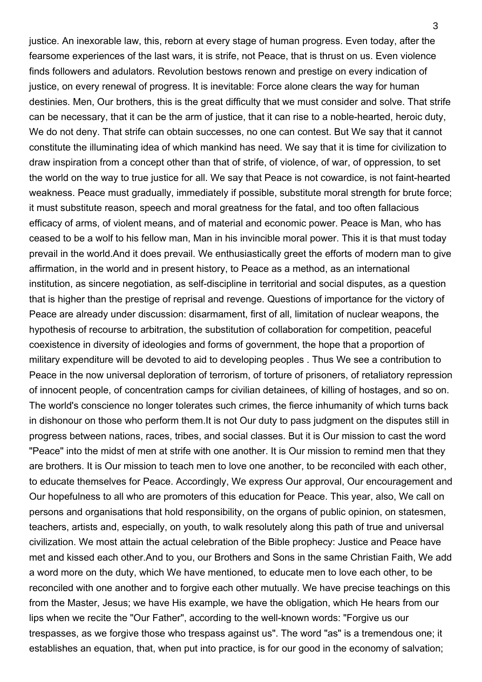justice. An inexorable law, this, reborn at every stage of human progress. Even today, after the fearsome experiences of the last wars, it is strife, not Peace, that is thrust on us. Even violence finds followers and adulators. Revolution bestows renown and prestige on every indication of justice, on every renewal of progress. It is inevitable: Force alone clears the way for human destinies. Men, Our brothers, this is the great difficulty that we must consider and solve. That strife can be necessary, that it can be the arm of justice, that it can rise to a noble-hearted, heroic duty, We do not deny. That strife can obtain successes, no one can contest. But We say that it cannot constitute the illuminating idea of which mankind has need. We say that it is time for civilization to draw inspiration from a concept other than that of strife, of violence, of war, of oppression, to set the world on the way to true justice for all. We say that Peace is not cowardice, is not faint-hearted weakness. Peace must gradually, immediately if possible, substitute moral strength for brute force; it must substitute reason, speech and moral greatness for the fatal, and too often fallacious efficacy of arms, of violent means, and of material and economic power. Peace is Man, who has ceased to be a wolf to his fellow man, Man in his invincible moral power. This it is that must today prevail in the world.And it does prevail. We enthusiastically greet the efforts of modern man to give affirmation, in the world and in present history, to Peace as a method, as an international institution, as sincere negotiation, as self-discipline in territorial and social disputes, as a question that is higher than the prestige of reprisal and revenge. Questions of importance for the victory of Peace are already under discussion: disarmament, first of all, limitation of nuclear weapons, the hypothesis of recourse to arbitration, the substitution of collaboration for competition, peaceful coexistence in diversity of ideologies and forms of government, the hope that a proportion of military expenditure will be devoted to aid to developing peoples . Thus We see a contribution to Peace in the now universal deploration of terrorism, of torture of prisoners, of retaliatory repression of innocent people, of concentration camps for civilian detainees, of killing of hostages, and so on. The world's conscience no longer tolerates such crimes, the fierce inhumanity of which turns back in dishonour on those who perform them.It is not Our duty to pass judgment on the disputes still in progress between nations, races, tribes, and social classes. But it is Our mission to cast the word "Peace" into the midst of men at strife with one another. It is Our mission to remind men that they are brothers. It is Our mission to teach men to love one another, to be reconciled with each other, to educate themselves for Peace. Accordingly, We express Our approval, Our encouragement and Our hopefulness to all who are promoters of this education for Peace. This year, also, We call on persons and organisations that hold responsibility, on the organs of public opinion, on statesmen, teachers, artists and, especially, on youth, to walk resolutely along this path of true and universal civilization. We most attain the actual celebration of the Bible prophecy: Justice and Peace have met and kissed each other.And to you, our Brothers and Sons in the same Christian Faith, We add a word more on the duty, which We have mentioned, to educate men to love each other, to be reconciled with one another and to forgive each other mutually. We have precise teachings on this from the Master, Jesus; we have His example, we have the obligation, which He hears from our lips when we recite the "Our Father", according to the well-known words: "Forgive us our trespasses, as we forgive those who trespass against us". The word "as" is a tremendous one; it establishes an equation, that, when put into practice, is for our good in the economy of salvation;

3